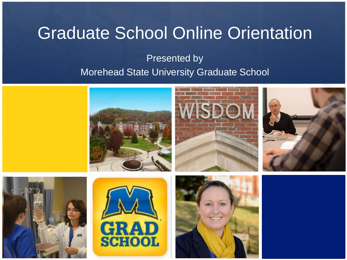#### Graduate School Online Orientation

#### Presented by Morehead State University Graduate School

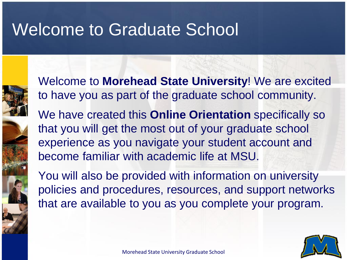#### Welcome to Graduate School



Welcome to **Morehead State University**! We are excited to have you as part of the graduate school community.

We have created this **Online Orientation** specifically so that you will get the most out of your graduate school experience as you navigate your student account and become familiar with academic life at MSU.

You will also be provided with information on university policies and procedures, resources, and support networks that are available to you as you complete your program.

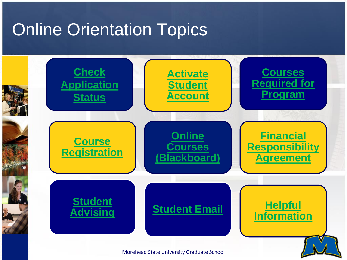#### <span id="page-2-0"></span>Online Orientation Topics

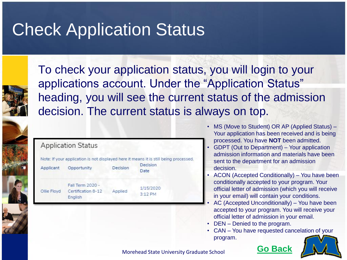#### <span id="page-3-0"></span>Check Application Status



To check your application status, you will login to your applications account. Under the "Application Status" heading, you will see the current status of the admission decision. The current status is always on top.

|             |                                                   |          | Note: If your application is not displayed here it means it is still being processed. |
|-------------|---------------------------------------------------|----------|---------------------------------------------------------------------------------------|
| Applicant   | Opportunity                                       | Decision | Decision<br>Date                                                                      |
| Ollie Floyd | Fall Term 2020 -<br>Certification 8-12<br>English | Applied  | 1/15/2020<br>3:12 PM                                                                  |

- MS (Move to Student) OR AP (Applied Status) Your application has been received and is being processed. You have **NOT** been admitted.
- GDPT (Out to Department) Your application admission information and materials have been sent to the department for an admission decision.
- ACON (Accepted Conditionally) You have been conditionally accepted to your program. Your official letter of admission (which you will receive in your email) will contain your conditions.
- AC (Accepted Unconditionally) You have been accepted to your program. You will receive your official letter of admission in your email.
- DEN Denied to the program.
- CAN You have requested cancelation of your program.

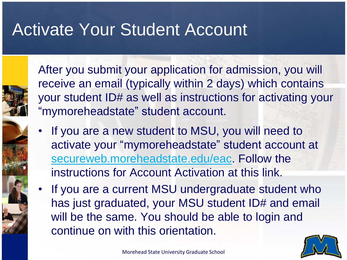#### <span id="page-4-0"></span>Activate Your Student Account



After you submit your application for admission, you will receive an email (typically within 2 days) which contains your student ID# as well as instructions for activating your "mymoreheadstate" student account.

- If you are a new student to MSU, you will need to activate your "mymoreheadstate" student account at [secureweb.moreheadstate.edu/eac](https://secureweb.moreheadstate.edu/eac/index.php). Follow the instructions for Account Activation at this link.
- If you are a current MSU undergraduate student who has just graduated, your MSU student ID# and email will be the same. You should be able to login and continue on with this orientation.

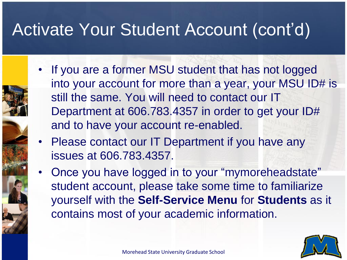#### Activate Your Student Account (cont'd)

- If you are a former MSU student that has not logged into your account for more than a year, your MSU ID# is still the same. You will need to contact our IT Department at 606.783.4357 in order to get your ID# and to have your account re-enabled.
- Please contact our IT Department if you have any issues at 606.783.4357.
- Once you have logged in to your "mymoreheadstate" student account, please take some time to familiarize yourself with the **Self-Service Menu** for **Students** as it contains most of your academic information.

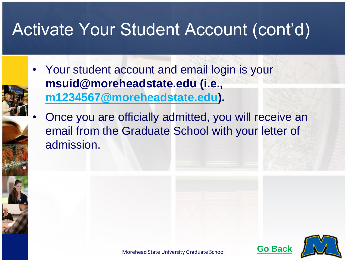#### Activate Your Student Account (cont'd)

- Your student account and email login is your **msuid@moreheadstate.edu (i.e., [m1234567@moreheadstate.edu](mailto:m1234567@moreheadstate.edu)).** 
	- Once you are officially admitted, you will receive an email from the Graduate School with your letter of admission.



Morehead State University Graduate School **Go Bac**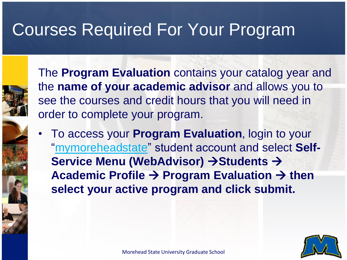#### <span id="page-7-0"></span>Courses Required For Your Program



The **Program Evaluation** contains your catalog year and the **name of your academic advisor** and allows you to see the courses and credit hours that you will need in order to complete your program.

• To access your **Program Evaluation**, login to your ["mymoreheadstate](https://fs.moreheadstate.edu/adfs/ls?wa=wsignin1.0&wtrealm=urn:sharepoint:mymsu&wctx=https://my.moreheadstate.edu/_layouts/15/Authenticate.aspx?Source%3d/)" student account and select **Self-Service Menu (WebAdvisor) → Students → Academic Profile → Program Evaluation → then select your active program and click submit.**

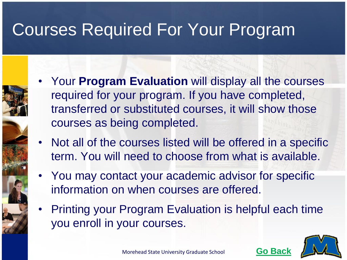#### Courses Required For Your Program

- Your **Program Evaluation** will display all the courses required for your program. If you have completed, transferred or substituted courses, it will show those courses as being completed.
- Not all of the courses listed will be offered in a specific term. You will need to choose from what is available.
- You may contact your academic advisor for specific information on when courses are offered.
- Printing your Program Evaluation is helpful each time you enroll in your courses.

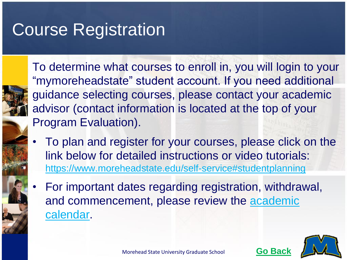#### <span id="page-9-0"></span>Course Registration



To determine what courses to enroll in, you will login to your "mymoreheadstate" student account. If you need additional guidance selecting courses, please contact your academic advisor (contact information is located at the top of your Program Evaluation).

- To plan and register for your courses, please click on the link below for detailed instructions or video tutorials: https://www.moreheadstate.edu/self-service#studentplanning
- For important dates regarding registration, withdrawal, [and commencement, please review the academic](http://www.moreheadstate.edu/Academic-Services/Registrar/Academic-Calendars) calendar.



Morehead State University Graduate School **Go Bac**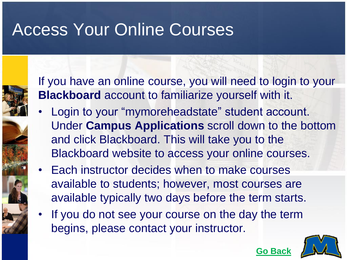#### <span id="page-10-0"></span>Access Your Online Courses

If you have an online course, you will need to login to your **Blackboard** account to familiarize yourself with it.

- Login to your "mymoreheadstate" student account. Under **Campus Applications** scroll down to the bottom and click Blackboard. This will take you to the Blackboard website to access your online courses.
- Each instructor decides when to make courses available to students; however, most courses are available typically two days before the term starts.
- If you do not see your course on the day the term begins, please contact your instructor.

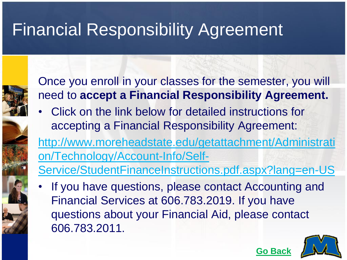## <span id="page-11-0"></span>Financial Responsibility Agreement



Once you enroll in your classes for the semester, you will need to **accept a Financial Responsibility Agreement.**

• Click on the link below for detailed instructions for accepting a Financial Responsibility Agreement:

http://www.moreheadstate.edu/getattachment/Administrati on/Technology/Account-Info/Self-

[Service/StudentFinanceInstructions.pdf.aspx?lang=en-US](http://www.moreheadstate.edu/getattachment/Administration/Technology/Account-Info/Self-Service/StudentFinanceInstructions.pdf.aspx?lang=en-US)

If you have questions, please contact Accounting and Financial Services at 606.783.2019. If you have questions about your Financial Aid, please contact 606.783.2011.

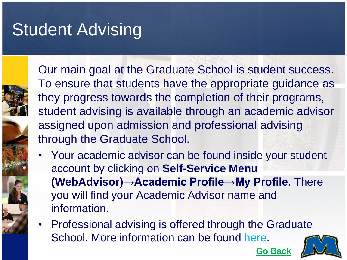## <span id="page-12-0"></span>Student Advising



Our main goal at the Graduate School is student success. To ensure that students have the appropriate guidance as they progress towards the completion of their programs, student advising is available through an academic advisor assigned upon admission and professional advising through the Graduate School.

- Your academic advisor can be found inside your student account by clicking on **Self-Service Menu (WebAdvisor)→Academic Profile→My Profile**. There you will find your Academic Advisor name and information.
- Professional advising is offered through the Graduate School. More information can be found [here](http://www.moreheadstate.edu/Academics/Graduate-School/Current-Students/Graduate-School-Advising-Center).

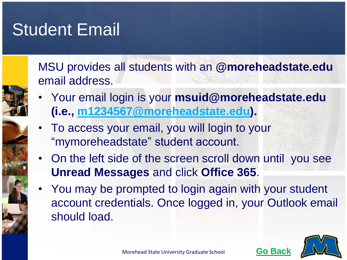#### <span id="page-13-0"></span>**Student Email**

MSU provides all students with an **@moreheadstate.edu**  email address.

- Your email login is your **msuid@moreheadstate.edu (i.e., [m1234567@moreheadstate.edu\)](mailto:m1234567@moreheadstate.edu).**
- To access your email, you will login to your "mymoreheadstate" student account.
- On the left side of the screen scroll down until you see **Unread Messages** and click **Office 365**.
- You may be prompted to login again with your student account credentials. Once logged in, your Outlook email should load.

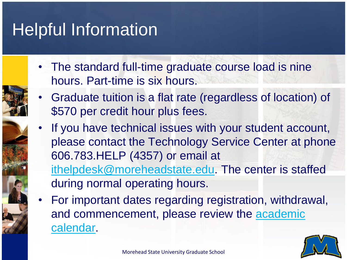## <span id="page-14-0"></span>Helpful Information

- The standard full-time graduate course load is nine hours. Part-time is six hours.
- Graduate tuition is a flat rate (regardless of location) of \$570 per credit hour plus fees.
- If you have technical issues with your student account, please contact the Technology Service Center at phone 606.783.HELP (4357) or email at [ithelpdesk@moreheadstate.edu](mailto:ithelpdesk@moreheadstate.edu). The center is staffed during normal operating hours.
- For important dates regarding registration, withdrawal, [and commencement, please review the academic](http://www.moreheadstate.edu/Academic-Services/Registrar/Academic-Calendars) calendar.

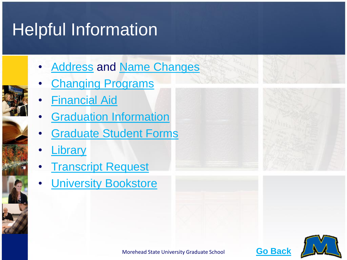## Helpful Information

- **[Address](http://www.moreheadstate.edu/Academic-Services/Registrar/Address-Change) and [Name Changes](http://www.moreheadstate.edu/Academic-Services/Registrar/Name-Changes)**
- **[Changing Programs](http://www.moreheadstate.edu/Academics/Graduate-School/Current-Students/Changing-Programs)**
- [Financial Aid](http://www.moreheadstate.edu/finaid)
- **[Graduation Information](http://www.moreheadstate.edu/Academic-Services/Registrar/Graduation-Information)**
- **[Graduate Student Forms](http://www.moreheadstate.edu/Academics/Graduate-School/Current-Students/Current-Student-and-Faculty-Forms)**
- **[Library](http://www.moreheadstate.edu/library)**
- **[Transcript Request](http://www.moreheadstate.edu/Academic-Affairs/Academic-Services/Registrar/Transcript-Request)**
- **[University Bookstore](http://www.bookstore.moreheadstate.edu/home.aspx)**





Morehead State University Graduate School **[Go Back](#page-2-0)**